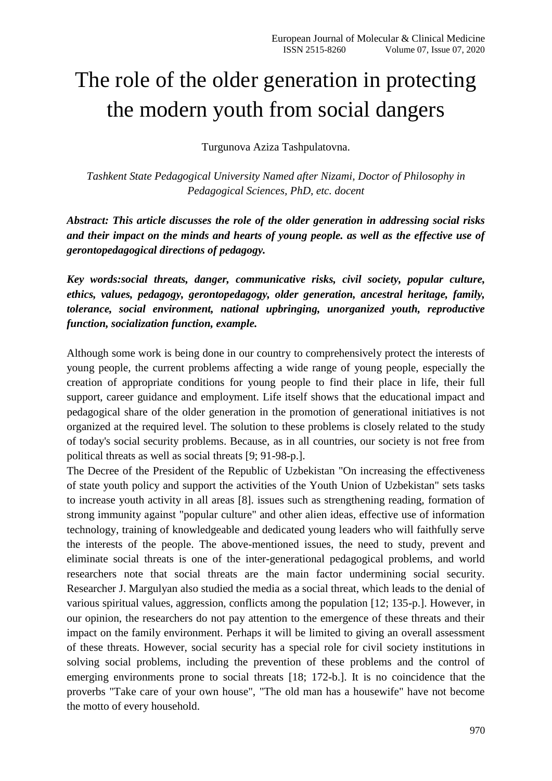## The role of the older generation in protecting the modern youth from social dangers

Turgunova Aziza Tashpulatovna.

*Tashkent State Pedagogical University Named after Nizami, Doctor of Philosophy in Pedagogical Sciences, PhD, etc. docent*

*Abstract: This article discusses the role of the older generation in addressing social risks and their impact on the minds and hearts of young people. as well as the effective use of gerontopedagogical directions of pedagogy.*

*Key words:social threats, danger, communicative risks, civil society, popular culture, ethics, values, pedagogy, gerontopedagogy, older generation, ancestral heritage, family, tolerance, social environment, national upbringing, unorganized youth, reproductive function, socialization function, example.*

Although some work is being done in our country to comprehensively protect the interests of young people, the current problems affecting a wide range of young people, especially the creation of appropriate conditions for young people to find their place in life, their full support, career guidance and employment. Life itself shows that the educational impact and pedagogical share of the older generation in the promotion of generational initiatives is not organized at the required level. The solution to these problems is closely related to the study of today's social security problems. Because, as in all countries, our society is not free from political threats as well as social threats [9; 91-98-p.].

The Decree of the President of the Republic of Uzbekistan "On increasing the effectiveness of state youth policy and support the activities of the Youth Union of Uzbekistan" sets tasks to increase youth activity in all areas [8]. issues such as strengthening reading, formation of strong immunity against "popular culture" and other alien ideas, effective use of information technology, training of knowledgeable and dedicated young leaders who will faithfully serve the interests of the people. The above-mentioned issues, the need to study, prevent and eliminate social threats is one of the inter-generational pedagogical problems, and world researchers note that social threats are the main factor undermining social security. Researcher J. Margulyan also studied the media as a social threat, which leads to the denial of various spiritual values, aggression, conflicts among the population [12; 135-p.]. However, in our opinion, the researchers do not pay attention to the emergence of these threats and their impact on the family environment. Perhaps it will be limited to giving an overall assessment of these threats. However, social security has a special role for civil society institutions in solving social problems, including the prevention of these problems and the control of emerging environments prone to social threats [18; 172-b.]. It is no coincidence that the proverbs "Take care of your own house", "The old man has a housewife" have not become the motto of every household.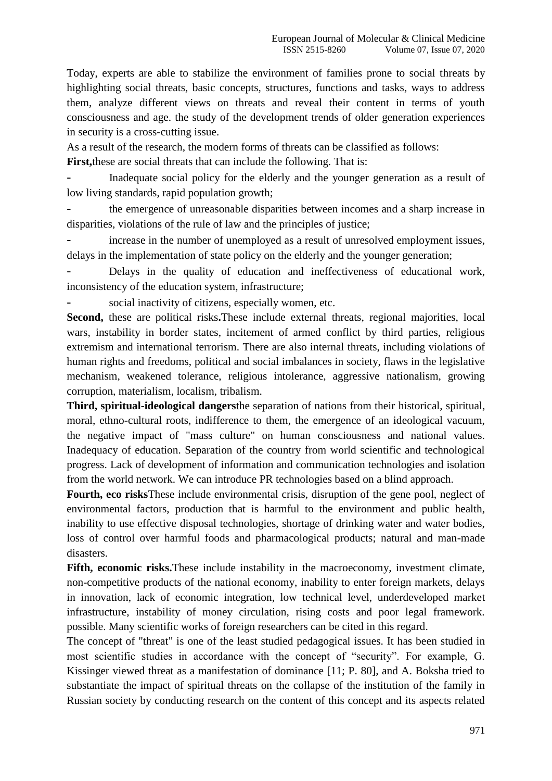Today, experts are able to stabilize the environment of families prone to social threats by highlighting social threats, basic concepts, structures, functions and tasks, ways to address them, analyze different views on threats and reveal their content in terms of youth consciousness and age. the study of the development trends of older generation experiences in security is a cross-cutting issue.

As a result of the research, the modern forms of threats can be classified as follows:

**First,**these are social threats that can include the following. That is:

Inadequate social policy for the elderly and the younger generation as a result of low living standards, rapid population growth;

the emergence of unreasonable disparities between incomes and a sharp increase in disparities, violations of the rule of law and the principles of justice;

increase in the number of unemployed as a result of unresolved employment issues, delays in the implementation of state policy on the elderly and the younger generation;

Delays in the quality of education and ineffectiveness of educational work, inconsistency of the education system, infrastructure;

social inactivity of citizens, especially women, etc.

**Second,** these are political risks**.**These include external threats, regional majorities, local wars, instability in border states, incitement of armed conflict by third parties, religious extremism and international terrorism. There are also internal threats, including violations of human rights and freedoms, political and social imbalances in society, flaws in the legislative mechanism, weakened tolerance, religious intolerance, aggressive nationalism, growing corruption, materialism, localism, tribalism.

**Third, spiritual-ideological dangers**the separation of nations from their historical, spiritual, moral, ethno-cultural roots, indifference to them, the emergence of an ideological vacuum, the negative impact of "mass culture" on human consciousness and national values. Inadequacy of education. Separation of the country from world scientific and technological progress. Lack of development of information and communication technologies and isolation from the world network. We can introduce PR technologies based on a blind approach.

**Fourth, eco risks**These include environmental crisis, disruption of the gene pool, neglect of environmental factors, production that is harmful to the environment and public health, inability to use effective disposal technologies, shortage of drinking water and water bodies, loss of control over harmful foods and pharmacological products; natural and man-made disasters.

**Fifth, economic risks.**These include instability in the macroeconomy, investment climate, non-competitive products of the national economy, inability to enter foreign markets, delays in innovation, lack of economic integration, low technical level, underdeveloped market infrastructure, instability of money circulation, rising costs and poor legal framework. possible. Many scientific works of foreign researchers can be cited in this regard.

The concept of "threat" is one of the least studied pedagogical issues. It has been studied in most scientific studies in accordance with the concept of "security". For example, G. Kissinger viewed threat as a manifestation of dominance [11; P. 80], and A. Boksha tried to substantiate the impact of spiritual threats on the collapse of the institution of the family in Russian society by conducting research on the content of this concept and its aspects related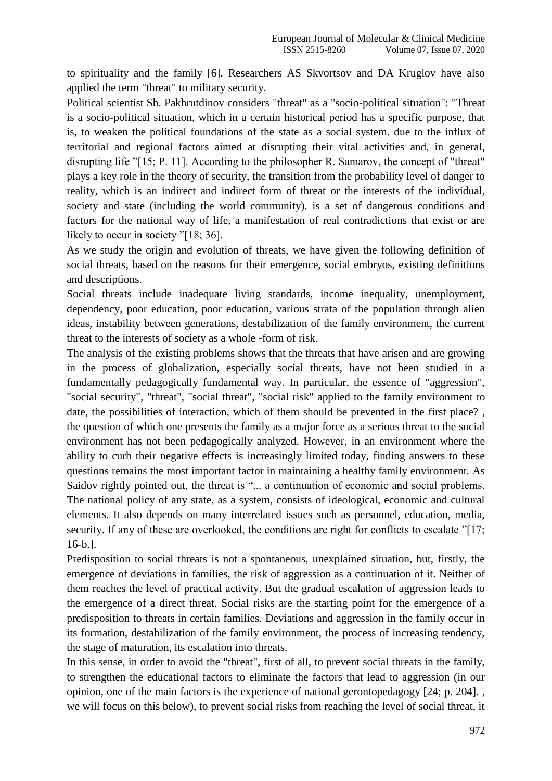to spirituality and the family [6]. Researchers AS Skvortsov and DA Kruglov have also applied the term "threat" to military security.

Political scientist Sh. Pakhrutdinov considers "threat" as a "socio-political situation": "Threat is a socio-political situation, which in a certain historical period has a specific purpose, that is, to weaken the political foundations of the state as a social system. due to the influx of territorial and regional factors aimed at disrupting their vital activities and, in general, disrupting life "[15; P. 11]. According to the philosopher R. Samarov, the concept of "threat" plays a key role in the theory of security, the transition from the probability level of danger to reality, which is an indirect and indirect form of threat or the interests of the individual, society and state (including the world community). is a set of dangerous conditions and factors for the national way of life, a manifestation of real contradictions that exist or are likely to occur in society "[18; 36].

As we study the origin and evolution of threats, we have given the following definition of social threats, based on the reasons for their emergence, social embryos, existing definitions and descriptions.

Social threats include inadequate living standards, income inequality, unemployment, dependency, poor education, poor education, various strata of the population through alien ideas, instability between generations, destabilization of the family environment, the current threat to the interests of society as a whole -form of risk.

The analysis of the existing problems shows that the threats that have arisen and are growing in the process of globalization, especially social threats, have not been studied in a fundamentally pedagogically fundamental way. In particular, the essence of "aggression", "social security", "threat", "social threat", "social risk" applied to the family environment to date, the possibilities of interaction, which of them should be prevented in the first place? , the question of which one presents the family as a major force as a serious threat to the social environment has not been pedagogically analyzed. However, in an environment where the ability to curb their negative effects is increasingly limited today, finding answers to these questions remains the most important factor in maintaining a healthy family environment. As Saidov rightly pointed out, the threat is "... a continuation of economic and social problems. The national policy of any state, as a system, consists of ideological, economic and cultural elements. It also depends on many interrelated issues such as personnel, education, media, security. If any of these are overlooked, the conditions are right for conflicts to escalate "[17; 16-b.].

Predisposition to social threats is not a spontaneous, unexplained situation, but, firstly, the emergence of deviations in families, the risk of aggression as a continuation of it. Neither of them reaches the level of practical activity. But the gradual escalation of aggression leads to the emergence of a direct threat. Social risks are the starting point for the emergence of a predisposition to threats in certain families. Deviations and aggression in the family occur in its formation, destabilization of the family environment, the process of increasing tendency, the stage of maturation, its escalation into threats.

In this sense, in order to avoid the "threat", first of all, to prevent social threats in the family, to strengthen the educational factors to eliminate the factors that lead to aggression (in our opinion, one of the main factors is the experience of national gerontopedagogy [24; p. 204]. , we will focus on this below), to prevent social risks from reaching the level of social threat, it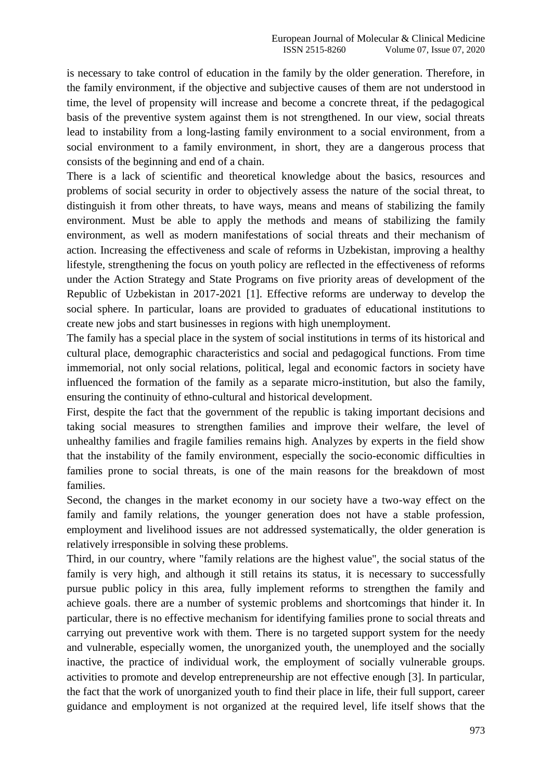is necessary to take control of education in the family by the older generation. Therefore, in the family environment, if the objective and subjective causes of them are not understood in time, the level of propensity will increase and become a concrete threat, if the pedagogical basis of the preventive system against them is not strengthened. In our view, social threats lead to instability from a long-lasting family environment to a social environment, from a social environment to a family environment, in short, they are a dangerous process that consists of the beginning and end of a chain.

There is a lack of scientific and theoretical knowledge about the basics, resources and problems of social security in order to objectively assess the nature of the social threat, to distinguish it from other threats, to have ways, means and means of stabilizing the family environment. Must be able to apply the methods and means of stabilizing the family environment, as well as modern manifestations of social threats and their mechanism of action. Increasing the effectiveness and scale of reforms in Uzbekistan, improving a healthy lifestyle, strengthening the focus on youth policy are reflected in the effectiveness of reforms under the Action Strategy and State Programs on five priority areas of development of the Republic of Uzbekistan in 2017-2021 [1]. Effective reforms are underway to develop the social sphere. In particular, loans are provided to graduates of educational institutions to create new jobs and start businesses in regions with high unemployment.

The family has a special place in the system of social institutions in terms of its historical and cultural place, demographic characteristics and social and pedagogical functions. From time immemorial, not only social relations, political, legal and economic factors in society have influenced the formation of the family as a separate micro-institution, but also the family, ensuring the continuity of ethno-cultural and historical development.

First, despite the fact that the government of the republic is taking important decisions and taking social measures to strengthen families and improve their welfare, the level of unhealthy families and fragile families remains high. Analyzes by experts in the field show that the instability of the family environment, especially the socio-economic difficulties in families prone to social threats, is one of the main reasons for the breakdown of most families.

Second, the changes in the market economy in our society have a two-way effect on the family and family relations, the younger generation does not have a stable profession, employment and livelihood issues are not addressed systematically, the older generation is relatively irresponsible in solving these problems.

Third, in our country, where "family relations are the highest value", the social status of the family is very high, and although it still retains its status, it is necessary to successfully pursue public policy in this area, fully implement reforms to strengthen the family and achieve goals. there are a number of systemic problems and shortcomings that hinder it. In particular, there is no effective mechanism for identifying families prone to social threats and carrying out preventive work with them. There is no targeted support system for the needy and vulnerable, especially women, the unorganized youth, the unemployed and the socially inactive, the practice of individual work, the employment of socially vulnerable groups. activities to promote and develop entrepreneurship are not effective enough [3]. In particular, the fact that the work of unorganized youth to find their place in life, their full support, career guidance and employment is not organized at the required level, life itself shows that the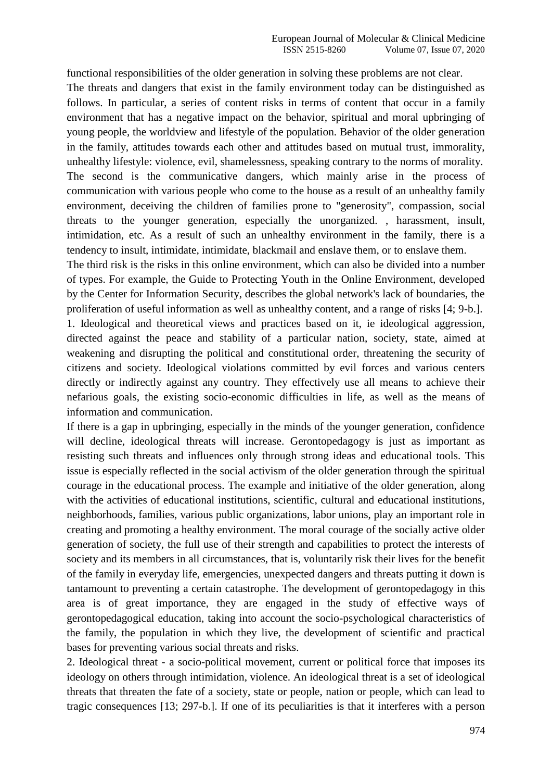functional responsibilities of the older generation in solving these problems are not clear.

The threats and dangers that exist in the family environment today can be distinguished as follows. In particular, a series of content risks in terms of content that occur in a family environment that has a negative impact on the behavior, spiritual and moral upbringing of young people, the worldview and lifestyle of the population. Behavior of the older generation in the family, attitudes towards each other and attitudes based on mutual trust, immorality, unhealthy lifestyle: violence, evil, shamelessness, speaking contrary to the norms of morality. The second is the communicative dangers, which mainly arise in the process of

communication with various people who come to the house as a result of an unhealthy family environment, deceiving the children of families prone to "generosity", compassion, social threats to the younger generation, especially the unorganized. , harassment, insult, intimidation, etc. As a result of such an unhealthy environment in the family, there is a tendency to insult, intimidate, intimidate, blackmail and enslave them, or to enslave them.

The third risk is the risks in this online environment, which can also be divided into a number of types. For example, the Guide to Protecting Youth in the Online Environment, developed by the Center for Information Security, describes the global network's lack of boundaries, the proliferation of useful information as well as unhealthy content, and a range of risks [4; 9-b.]. 1. Ideological and theoretical views and practices based on it, ie ideological aggression, directed against the peace and stability of a particular nation, society, state, aimed at weakening and disrupting the political and constitutional order, threatening the security of citizens and society. Ideological violations committed by evil forces and various centers directly or indirectly against any country. They effectively use all means to achieve their nefarious goals, the existing socio-economic difficulties in life, as well as the means of information and communication.

If there is a gap in upbringing, especially in the minds of the younger generation, confidence will decline, ideological threats will increase. Gerontopedagogy is just as important as resisting such threats and influences only through strong ideas and educational tools. This issue is especially reflected in the social activism of the older generation through the spiritual courage in the educational process. The example and initiative of the older generation, along with the activities of educational institutions, scientific, cultural and educational institutions, neighborhoods, families, various public organizations, labor unions, play an important role in creating and promoting a healthy environment. The moral courage of the socially active older generation of society, the full use of their strength and capabilities to protect the interests of society and its members in all circumstances, that is, voluntarily risk their lives for the benefit of the family in everyday life, emergencies, unexpected dangers and threats putting it down is tantamount to preventing a certain catastrophe. The development of gerontopedagogy in this area is of great importance, they are engaged in the study of effective ways of gerontopedagogical education, taking into account the socio-psychological characteristics of the family, the population in which they live, the development of scientific and practical bases for preventing various social threats and risks.

2. Ideological threat - a socio-political movement, current or political force that imposes its ideology on others through intimidation, violence. An ideological threat is a set of ideological threats that threaten the fate of a society, state or people, nation or people, which can lead to tragic consequences [13; 297-b.]. If one of its peculiarities is that it interferes with a person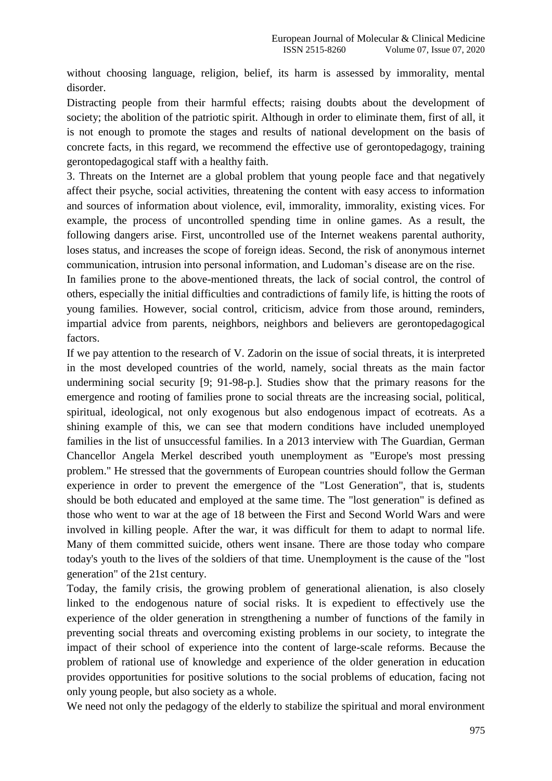without choosing language, religion, belief, its harm is assessed by immorality, mental disorder.

Distracting people from their harmful effects; raising doubts about the development of society; the abolition of the patriotic spirit. Although in order to eliminate them, first of all, it is not enough to promote the stages and results of national development on the basis of concrete facts, in this regard, we recommend the effective use of gerontopedagogy, training gerontopedagogical staff with a healthy faith.

3. Threats on the Internet are a global problem that young people face and that negatively affect their psyche, social activities, threatening the content with easy access to information and sources of information about violence, evil, immorality, immorality, existing vices. For example, the process of uncontrolled spending time in online games. As a result, the following dangers arise. First, uncontrolled use of the Internet weakens parental authority, loses status, and increases the scope of foreign ideas. Second, the risk of anonymous internet communication, intrusion into personal information, and Ludoman's disease are on the rise.

In families prone to the above-mentioned threats, the lack of social control, the control of others, especially the initial difficulties and contradictions of family life, is hitting the roots of young families. However, social control, criticism, advice from those around, reminders, impartial advice from parents, neighbors, neighbors and believers are gerontopedagogical factors.

If we pay attention to the research of V. Zadorin on the issue of social threats, it is interpreted in the most developed countries of the world, namely, social threats as the main factor undermining social security [9; 91-98-p.]. Studies show that the primary reasons for the emergence and rooting of families prone to social threats are the increasing social, political, spiritual, ideological, not only exogenous but also endogenous impact of ecotreats. As a shining example of this, we can see that modern conditions have included unemployed families in the list of unsuccessful families. In a 2013 interview with The Guardian, German Chancellor Angela Merkel described youth unemployment as "Europe's most pressing problem." He stressed that the governments of European countries should follow the German experience in order to prevent the emergence of the "Lost Generation", that is, students should be both educated and employed at the same time. The "lost generation" is defined as those who went to war at the age of 18 between the First and Second World Wars and were involved in killing people. After the war, it was difficult for them to adapt to normal life. Many of them committed suicide, others went insane. There are those today who compare today's youth to the lives of the soldiers of that time. Unemployment is the cause of the "lost generation" of the 21st century.

Today, the family crisis, the growing problem of generational alienation, is also closely linked to the endogenous nature of social risks. It is expedient to effectively use the experience of the older generation in strengthening a number of functions of the family in preventing social threats and overcoming existing problems in our society, to integrate the impact of their school of experience into the content of large-scale reforms. Because the problem of rational use of knowledge and experience of the older generation in education provides opportunities for positive solutions to the social problems of education, facing not only young people, but also society as a whole.

We need not only the pedagogy of the elderly to stabilize the spiritual and moral environment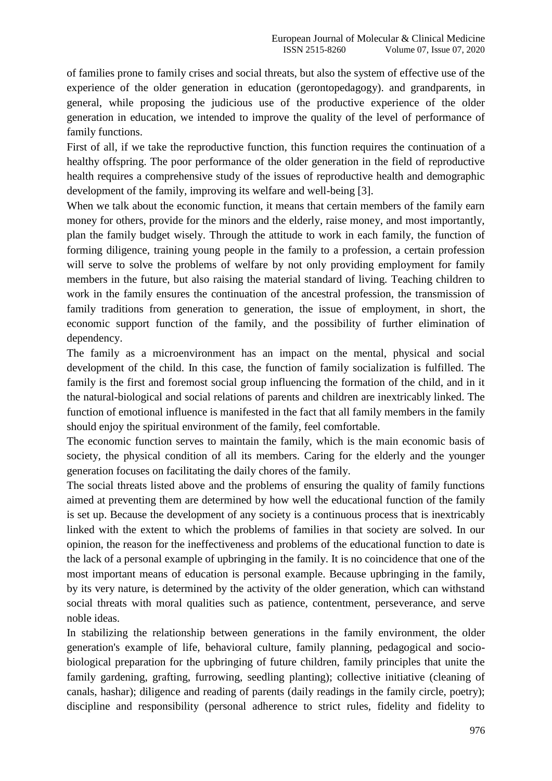of families prone to family crises and social threats, but also the system of effective use of the experience of the older generation in education (gerontopedagogy). and grandparents, in general, while proposing the judicious use of the productive experience of the older generation in education, we intended to improve the quality of the level of performance of family functions.

First of all, if we take the reproductive function, this function requires the continuation of a healthy offspring. The poor performance of the older generation in the field of reproductive health requires a comprehensive study of the issues of reproductive health and demographic development of the family, improving its welfare and well-being [3].

When we talk about the economic function, it means that certain members of the family earn money for others, provide for the minors and the elderly, raise money, and most importantly, plan the family budget wisely. Through the attitude to work in each family, the function of forming diligence, training young people in the family to a profession, a certain profession will serve to solve the problems of welfare by not only providing employment for family members in the future, but also raising the material standard of living. Teaching children to work in the family ensures the continuation of the ancestral profession, the transmission of family traditions from generation to generation, the issue of employment, in short, the economic support function of the family, and the possibility of further elimination of dependency.

The family as a microenvironment has an impact on the mental, physical and social development of the child. In this case, the function of family socialization is fulfilled. The family is the first and foremost social group influencing the formation of the child, and in it the natural-biological and social relations of parents and children are inextricably linked. The function of emotional influence is manifested in the fact that all family members in the family should enjoy the spiritual environment of the family, feel comfortable.

The economic function serves to maintain the family, which is the main economic basis of society, the physical condition of all its members. Caring for the elderly and the younger generation focuses on facilitating the daily chores of the family.

The social threats listed above and the problems of ensuring the quality of family functions aimed at preventing them are determined by how well the educational function of the family is set up. Because the development of any society is a continuous process that is inextricably linked with the extent to which the problems of families in that society are solved. In our opinion, the reason for the ineffectiveness and problems of the educational function to date is the lack of a personal example of upbringing in the family. It is no coincidence that one of the most important means of education is personal example. Because upbringing in the family, by its very nature, is determined by the activity of the older generation, which can withstand social threats with moral qualities such as patience, contentment, perseverance, and serve noble ideas.

In stabilizing the relationship between generations in the family environment, the older generation's example of life, behavioral culture, family planning, pedagogical and sociobiological preparation for the upbringing of future children, family principles that unite the family gardening, grafting, furrowing, seedling planting); collective initiative (cleaning of canals, hashar); diligence and reading of parents (daily readings in the family circle, poetry); discipline and responsibility (personal adherence to strict rules, fidelity and fidelity to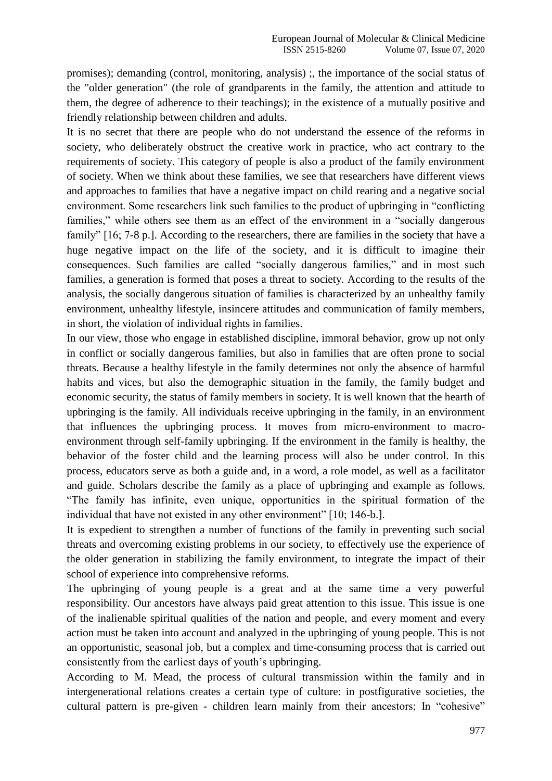promises); demanding (control, monitoring, analysis) ;, the importance of the social status of the "older generation" (the role of grandparents in the family, the attention and attitude to them, the degree of adherence to their teachings); in the existence of a mutually positive and friendly relationship between children and adults.

It is no secret that there are people who do not understand the essence of the reforms in society, who deliberately obstruct the creative work in practice, who act contrary to the requirements of society. This category of people is also a product of the family environment of society. When we think about these families, we see that researchers have different views and approaches to families that have a negative impact on child rearing and a negative social environment. Some researchers link such families to the product of upbringing in "conflicting families," while others see them as an effect of the environment in a "socially dangerous family" [16; 7-8 p.]. According to the researchers, there are families in the society that have a huge negative impact on the life of the society, and it is difficult to imagine their consequences. Such families are called "socially dangerous families," and in most such families, a generation is formed that poses a threat to society. According to the results of the analysis, the socially dangerous situation of families is characterized by an unhealthy family environment, unhealthy lifestyle, insincere attitudes and communication of family members, in short, the violation of individual rights in families.

In our view, those who engage in established discipline, immoral behavior, grow up not only in conflict or socially dangerous families, but also in families that are often prone to social threats. Because a healthy lifestyle in the family determines not only the absence of harmful habits and vices, but also the demographic situation in the family, the family budget and economic security, the status of family members in society. It is well known that the hearth of upbringing is the family. All individuals receive upbringing in the family, in an environment that influences the upbringing process. It moves from micro-environment to macroenvironment through self-family upbringing. If the environment in the family is healthy, the behavior of the foster child and the learning process will also be under control. In this process, educators serve as both a guide and, in a word, a role model, as well as a facilitator and guide. Scholars describe the family as a place of upbringing and example as follows. "The family has infinite, even unique, opportunities in the spiritual formation of the individual that have not existed in any other environment" [10; 146-b.].

It is expedient to strengthen a number of functions of the family in preventing such social threats and overcoming existing problems in our society, to effectively use the experience of the older generation in stabilizing the family environment, to integrate the impact of their school of experience into comprehensive reforms.

The upbringing of young people is a great and at the same time a very powerful responsibility. Our ancestors have always paid great attention to this issue. This issue is one of the inalienable spiritual qualities of the nation and people, and every moment and every action must be taken into account and analyzed in the upbringing of young people. This is not an opportunistic, seasonal job, but a complex and time-consuming process that is carried out consistently from the earliest days of youth's upbringing.

According to M. Mead, the process of cultural transmission within the family and in intergenerational relations creates a certain type of culture: in postfigurative societies, the cultural pattern is pre-given - children learn mainly from their ancestors; In "cohesive"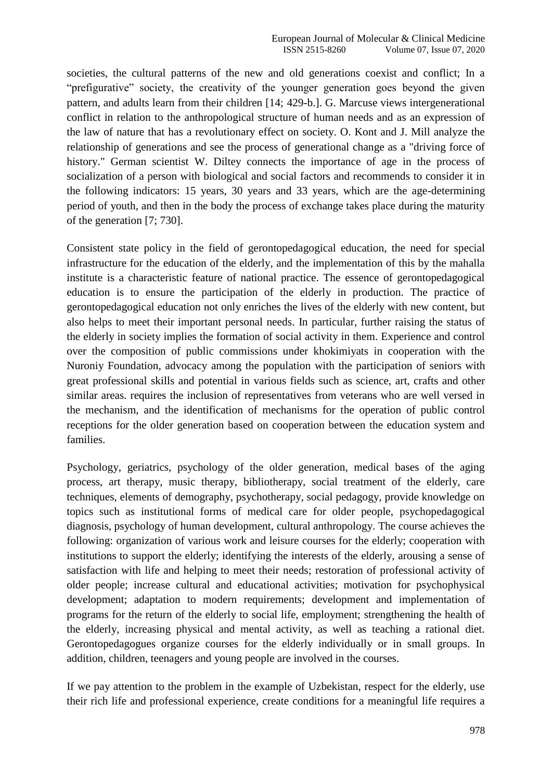societies, the cultural patterns of the new and old generations coexist and conflict; In a "prefigurative" society, the creativity of the younger generation goes beyond the given pattern, and adults learn from their children [14; 429-b.]. G. Marcuse views intergenerational conflict in relation to the anthropological structure of human needs and as an expression of the law of nature that has a revolutionary effect on society. O. Kont and J. Mill analyze the relationship of generations and see the process of generational change as a "driving force of history." German scientist W. Diltey connects the importance of age in the process of socialization of a person with biological and social factors and recommends to consider it in the following indicators: 15 years, 30 years and 33 years, which are the age-determining period of youth, and then in the body the process of exchange takes place during the maturity of the generation [7; 730].

Consistent state policy in the field of gerontopedagogical education, the need for special infrastructure for the education of the elderly, and the implementation of this by the mahalla institute is a characteristic feature of national practice. The essence of gerontopedagogical education is to ensure the participation of the elderly in production. The practice of gerontopedagogical education not only enriches the lives of the elderly with new content, but also helps to meet their important personal needs. In particular, further raising the status of the elderly in society implies the formation of social activity in them. Experience and control over the composition of public commissions under khokimiyats in cooperation with the Nuroniy Foundation, advocacy among the population with the participation of seniors with great professional skills and potential in various fields such as science, art, crafts and other similar areas. requires the inclusion of representatives from veterans who are well versed in the mechanism, and the identification of mechanisms for the operation of public control receptions for the older generation based on cooperation between the education system and families.

Psychology, geriatrics, psychology of the older generation, medical bases of the aging process, art therapy, music therapy, bibliotherapy, social treatment of the elderly, care techniques, elements of demography, psychotherapy, social pedagogy, provide knowledge on topics such as institutional forms of medical care for older people, psychopedagogical diagnosis, psychology of human development, cultural anthropology. The course achieves the following: organization of various work and leisure courses for the elderly; cooperation with institutions to support the elderly; identifying the interests of the elderly, arousing a sense of satisfaction with life and helping to meet their needs; restoration of professional activity of older people; increase cultural and educational activities; motivation for psychophysical development; adaptation to modern requirements; development and implementation of programs for the return of the elderly to social life, employment; strengthening the health of the elderly, increasing physical and mental activity, as well as teaching a rational diet. Gerontopedagogues organize courses for the elderly individually or in small groups. In addition, children, teenagers and young people are involved in the courses.

If we pay attention to the problem in the example of Uzbekistan, respect for the elderly, use their rich life and professional experience, create conditions for a meaningful life requires a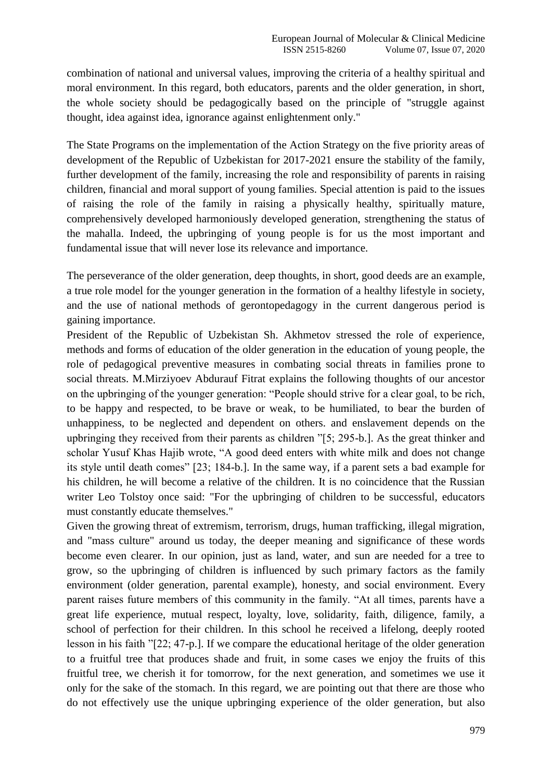combination of national and universal values, improving the criteria of a healthy spiritual and moral environment. In this regard, both educators, parents and the older generation, in short, the whole society should be pedagogically based on the principle of "struggle against thought, idea against idea, ignorance against enlightenment only."

The State Programs on the implementation of the Action Strategy on the five priority areas of development of the Republic of Uzbekistan for 2017-2021 ensure the stability of the family, further development of the family, increasing the role and responsibility of parents in raising children, financial and moral support of young families. Special attention is paid to the issues of raising the role of the family in raising a physically healthy, spiritually mature, comprehensively developed harmoniously developed generation, strengthening the status of the mahalla. Indeed, the upbringing of young people is for us the most important and fundamental issue that will never lose its relevance and importance.

The perseverance of the older generation, deep thoughts, in short, good deeds are an example, a true role model for the younger generation in the formation of a healthy lifestyle in society, and the use of national methods of gerontopedagogy in the current dangerous period is gaining importance.

President of the Republic of Uzbekistan Sh. Akhmetov stressed the role of experience, methods and forms of education of the older generation in the education of young people, the role of pedagogical preventive measures in combating social threats in families prone to social threats. M.Mirziyoev Abdurauf Fitrat explains the following thoughts of our ancestor on the upbringing of the younger generation: "People should strive for a clear goal, to be rich, to be happy and respected, to be brave or weak, to be humiliated, to bear the burden of unhappiness, to be neglected and dependent on others. and enslavement depends on the upbringing they received from their parents as children "[5; 295-b.]. As the great thinker and scholar Yusuf Khas Hajib wrote, "A good deed enters with white milk and does not change its style until death comes" [23; 184-b.]. In the same way, if a parent sets a bad example for his children, he will become a relative of the children. It is no coincidence that the Russian writer Leo Tolstoy once said: "For the upbringing of children to be successful, educators must constantly educate themselves."

Given the growing threat of extremism, terrorism, drugs, human trafficking, illegal migration, and "mass culture" around us today, the deeper meaning and significance of these words become even clearer. In our opinion, just as land, water, and sun are needed for a tree to grow, so the upbringing of children is influenced by such primary factors as the family environment (older generation, parental example), honesty, and social environment. Every parent raises future members of this community in the family. "At all times, parents have a great life experience, mutual respect, loyalty, love, solidarity, faith, diligence, family, a school of perfection for their children. In this school he received a lifelong, deeply rooted lesson in his faith "[22; 47-p.]. If we compare the educational heritage of the older generation to a fruitful tree that produces shade and fruit, in some cases we enjoy the fruits of this fruitful tree, we cherish it for tomorrow, for the next generation, and sometimes we use it only for the sake of the stomach. In this regard, we are pointing out that there are those who do not effectively use the unique upbringing experience of the older generation, but also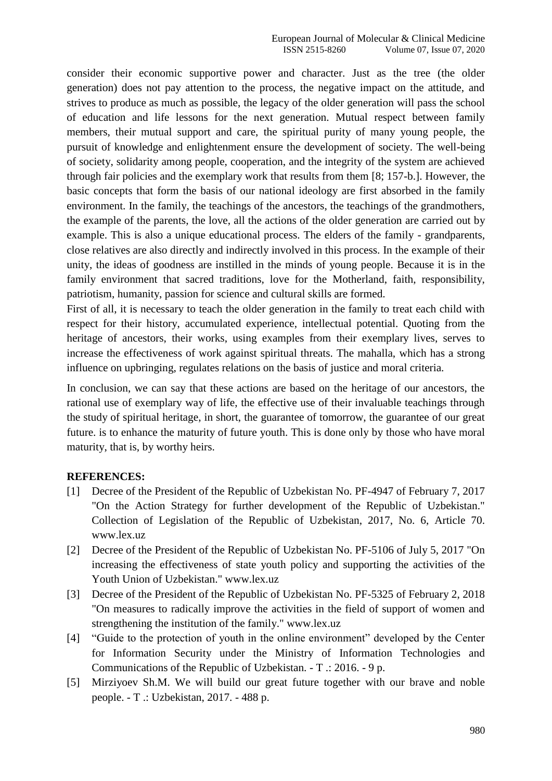consider their economic supportive power and character. Just as the tree (the older generation) does not pay attention to the process, the negative impact on the attitude, and strives to produce as much as possible, the legacy of the older generation will pass the school of education and life lessons for the next generation. Mutual respect between family members, their mutual support and care, the spiritual purity of many young people, the pursuit of knowledge and enlightenment ensure the development of society. The well-being of society, solidarity among people, cooperation, and the integrity of the system are achieved through fair policies and the exemplary work that results from them [8; 157-b.]. However, the basic concepts that form the basis of our national ideology are first absorbed in the family environment. In the family, the teachings of the ancestors, the teachings of the grandmothers, the example of the parents, the love, all the actions of the older generation are carried out by example. This is also a unique educational process. The elders of the family - grandparents, close relatives are also directly and indirectly involved in this process. In the example of their unity, the ideas of goodness are instilled in the minds of young people. Because it is in the family environment that sacred traditions, love for the Motherland, faith, responsibility, patriotism, humanity, passion for science and cultural skills are formed.

First of all, it is necessary to teach the older generation in the family to treat each child with respect for their history, accumulated experience, intellectual potential. Quoting from the heritage of ancestors, their works, using examples from their exemplary lives, serves to increase the effectiveness of work against spiritual threats. The mahalla, which has a strong influence on upbringing, regulates relations on the basis of justice and moral criteria.

In conclusion, we can say that these actions are based on the heritage of our ancestors, the rational use of exemplary way of life, the effective use of their invaluable teachings through the study of spiritual heritage, in short, the guarantee of tomorrow, the guarantee of our great future. is to enhance the maturity of future youth. This is done only by those who have moral maturity, that is, by worthy heirs.

## **REFERENCES:**

- [1] Decree of the President of the Republic of Uzbekistan No. PF-4947 of February 7, 2017 "On the Action Strategy for further development of the Republic of Uzbekistan." Collection of Legislation of the Republic of Uzbekistan, 2017, No. 6, Article 70. www.lex.uz
- [2] Decree of the President of the Republic of Uzbekistan No. PF-5106 of July 5, 2017 "On increasing the effectiveness of state youth policy and supporting the activities of the Youth Union of Uzbekistan." www.lex.uz
- [3] Decree of the President of the Republic of Uzbekistan No. PF-5325 of February 2, 2018 "On measures to radically improve the activities in the field of support of women and strengthening the institution of the family." www.lex.uz
- [4] "Guide to the protection of youth in the online environment" developed by the Center for Information Security under the Ministry of Information Technologies and Communications of the Republic of Uzbekistan. - T .: 2016. - 9 p.
- [5] Mirziyoev Sh.M. We will build our great future together with our brave and noble people. - T .: Uzbekistan, 2017. - 488 p.